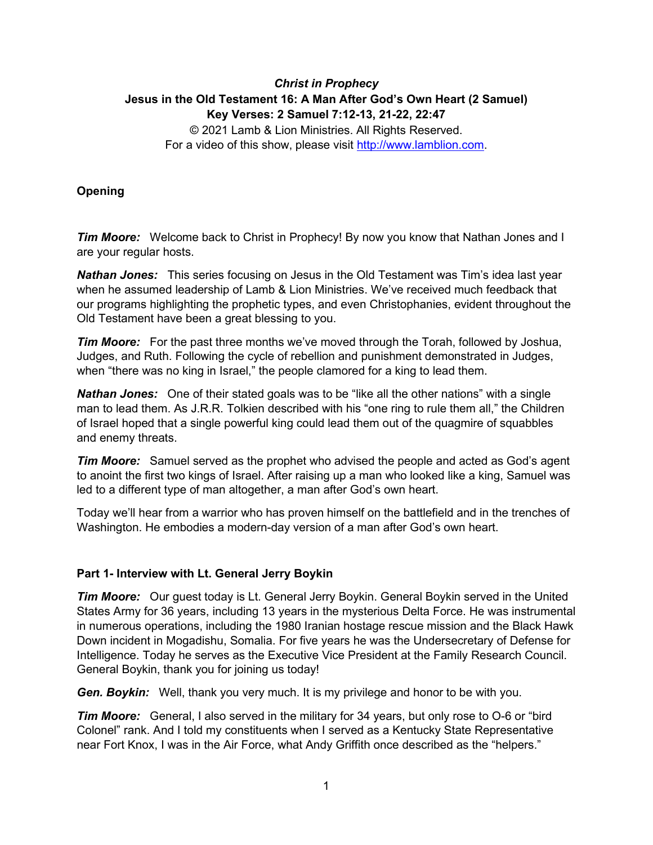# *Christ in Prophecy* **Jesus in the Old Testament 16: A Man After God's Own Heart (2 Samuel) Key Verses: 2 Samuel 7:12-13, 21-22, 22:47**

© 2021 Lamb & Lion Ministries. All Rights Reserved. For a video of this show, please visit [http://www.lamblion.com.](http://www.lamblion.com/)

## **Opening**

*Tim Moore:* Welcome back to Christ in Prophecy! By now you know that Nathan Jones and I are your regular hosts.

*Nathan Jones:* This series focusing on Jesus in the Old Testament was Tim's idea last year when he assumed leadership of Lamb & Lion Ministries. We've received much feedback that our programs highlighting the prophetic types, and even Christophanies, evident throughout the Old Testament have been a great blessing to you.

*Tim Moore:* For the past three months we've moved through the Torah, followed by Joshua, Judges, and Ruth. Following the cycle of rebellion and punishment demonstrated in Judges, when "there was no king in Israel," the people clamored for a king to lead them.

**Nathan Jones:** One of their stated goals was to be "like all the other nations" with a single man to lead them. As J.R.R. Tolkien described with his "one ring to rule them all," the Children of Israel hoped that a single powerful king could lead them out of the quagmire of squabbles and enemy threats.

*Tim Moore:* Samuel served as the prophet who advised the people and acted as God's agent to anoint the first two kings of Israel. After raising up a man who looked like a king, Samuel was led to a different type of man altogether, a man after God's own heart.

Today we'll hear from a warrior who has proven himself on the battlefield and in the trenches of Washington. He embodies a modern-day version of a man after God's own heart.

### **Part 1- Interview with Lt. General Jerry Boykin**

*Tim Moore:* Our guest today is Lt. General Jerry Boykin. General Boykin served in the United States Army for 36 years, including 13 years in the mysterious Delta Force. He was instrumental in numerous operations, including the 1980 Iranian hostage rescue mission and the Black Hawk Down incident in Mogadishu, Somalia. For five years he was the Undersecretary of Defense for Intelligence. Today he serves as the Executive Vice President at the Family Research Council. General Boykin, thank you for joining us today!

*Gen. Boykin:* Well, thank you very much. It is my privilege and honor to be with you.

*Tim Moore:* General, I also served in the military for 34 years, but only rose to O-6 or "bird Colonel" rank. And I told my constituents when I served as a Kentucky State Representative near Fort Knox, I was in the Air Force, what Andy Griffith once described as the "helpers."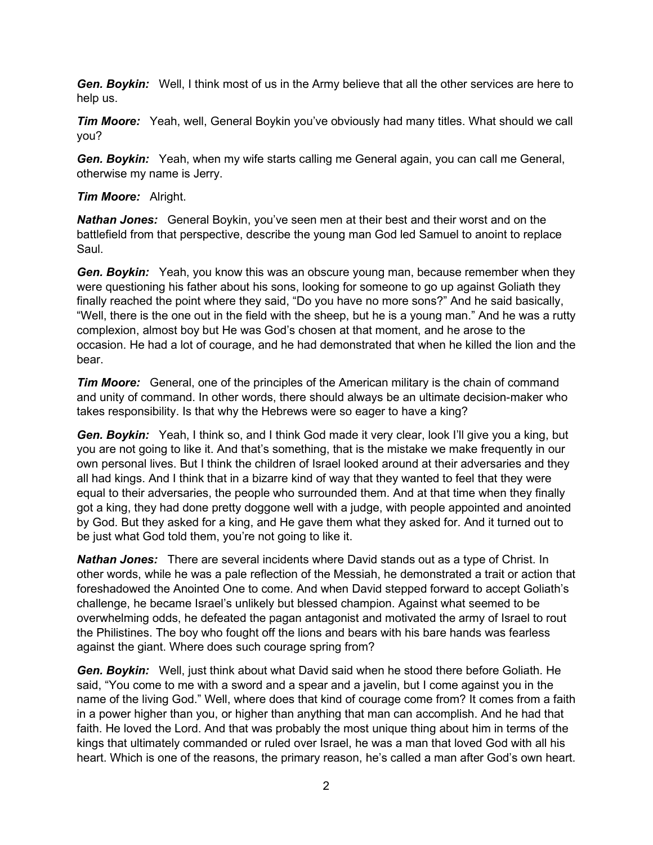*Gen. Boykin:* Well, I think most of us in the Army believe that all the other services are here to help us.

*Tim Moore:* Yeah, well, General Boykin you've obviously had many titles. What should we call you?

*Gen. Boykin:* Yeah, when my wife starts calling me General again, you can call me General, otherwise my name is Jerry.

#### *Tim Moore:* Alright.

*Nathan Jones:* General Boykin, you've seen men at their best and their worst and on the battlefield from that perspective, describe the young man God led Samuel to anoint to replace Saul.

*Gen. Boykin:* Yeah, you know this was an obscure young man, because remember when they were questioning his father about his sons, looking for someone to go up against Goliath they finally reached the point where they said, "Do you have no more sons?" And he said basically, "Well, there is the one out in the field with the sheep, but he is a young man." And he was a rutty complexion, almost boy but He was God's chosen at that moment, and he arose to the occasion. He had a lot of courage, and he had demonstrated that when he killed the lion and the bear.

*Tim Moore:* General, one of the principles of the American military is the chain of command and unity of command. In other words, there should always be an ultimate decision-maker who takes responsibility. Is that why the Hebrews were so eager to have a king?

**Gen. Boykin:** Yeah, I think so, and I think God made it very clear, look I'll give you a king, but you are not going to like it. And that's something, that is the mistake we make frequently in our own personal lives. But I think the children of Israel looked around at their adversaries and they all had kings. And I think that in a bizarre kind of way that they wanted to feel that they were equal to their adversaries, the people who surrounded them. And at that time when they finally got a king, they had done pretty doggone well with a judge, with people appointed and anointed by God. But they asked for a king, and He gave them what they asked for. And it turned out to be just what God told them, you're not going to like it.

*Nathan Jones:* There are several incidents where David stands out as a type of Christ. In other words, while he was a pale reflection of the Messiah, he demonstrated a trait or action that foreshadowed the Anointed One to come. And when David stepped forward to accept Goliath's challenge, he became Israel's unlikely but blessed champion. Against what seemed to be overwhelming odds, he defeated the pagan antagonist and motivated the army of Israel to rout the Philistines. The boy who fought off the lions and bears with his bare hands was fearless against the giant. Where does such courage spring from?

*Gen. Boykin:* Well, just think about what David said when he stood there before Goliath. He said, "You come to me with a sword and a spear and a javelin, but I come against you in the name of the living God." Well, where does that kind of courage come from? It comes from a faith in a power higher than you, or higher than anything that man can accomplish. And he had that faith. He loved the Lord. And that was probably the most unique thing about him in terms of the kings that ultimately commanded or ruled over Israel, he was a man that loved God with all his heart. Which is one of the reasons, the primary reason, he's called a man after God's own heart.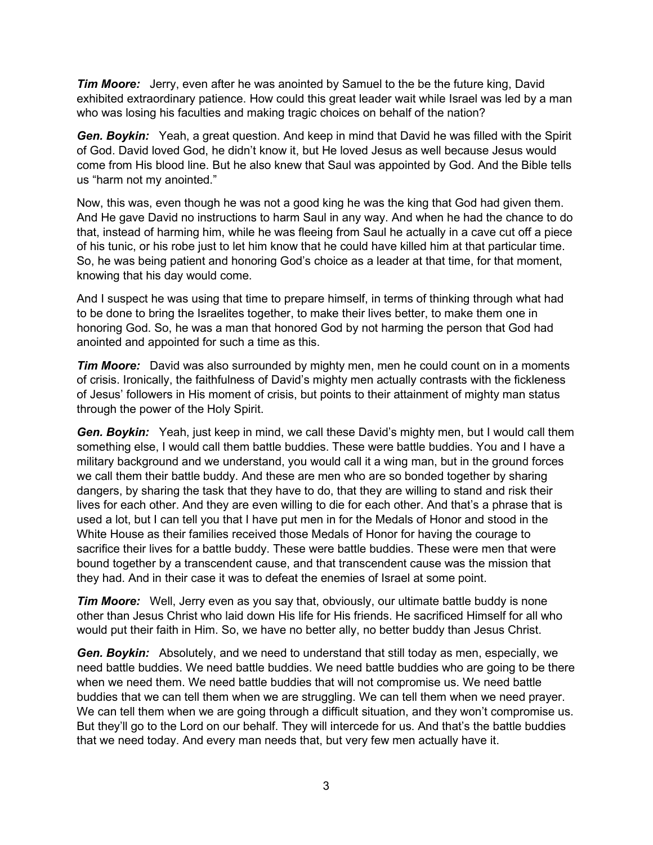*Tim Moore:* Jerry, even after he was anointed by Samuel to the be the future king, David exhibited extraordinary patience. How could this great leader wait while Israel was led by a man who was losing his faculties and making tragic choices on behalf of the nation?

*Gen. Boykin:* Yeah, a great question. And keep in mind that David he was filled with the Spirit of God. David loved God, he didn't know it, but He loved Jesus as well because Jesus would come from His blood line. But he also knew that Saul was appointed by God. And the Bible tells us "harm not my anointed."

Now, this was, even though he was not a good king he was the king that God had given them. And He gave David no instructions to harm Saul in any way. And when he had the chance to do that, instead of harming him, while he was fleeing from Saul he actually in a cave cut off a piece of his tunic, or his robe just to let him know that he could have killed him at that particular time. So, he was being patient and honoring God's choice as a leader at that time, for that moment, knowing that his day would come.

And I suspect he was using that time to prepare himself, in terms of thinking through what had to be done to bring the Israelites together, to make their lives better, to make them one in honoring God. So, he was a man that honored God by not harming the person that God had anointed and appointed for such a time as this.

*Tim Moore:* David was also surrounded by mighty men, men he could count on in a moments of crisis. Ironically, the faithfulness of David's mighty men actually contrasts with the fickleness of Jesus' followers in His moment of crisis, but points to their attainment of mighty man status through the power of the Holy Spirit.

*Gen. Boykin:* Yeah, just keep in mind, we call these David's mighty men, but I would call them something else, I would call them battle buddies. These were battle buddies. You and I have a military background and we understand, you would call it a wing man, but in the ground forces we call them their battle buddy. And these are men who are so bonded together by sharing dangers, by sharing the task that they have to do, that they are willing to stand and risk their lives for each other. And they are even willing to die for each other. And that's a phrase that is used a lot, but I can tell you that I have put men in for the Medals of Honor and stood in the White House as their families received those Medals of Honor for having the courage to sacrifice their lives for a battle buddy. These were battle buddies. These were men that were bound together by a transcendent cause, and that transcendent cause was the mission that they had. And in their case it was to defeat the enemies of Israel at some point.

*Tim Moore:* Well, Jerry even as you say that, obviously, our ultimate battle buddy is none other than Jesus Christ who laid down His life for His friends. He sacrificed Himself for all who would put their faith in Him. So, we have no better ally, no better buddy than Jesus Christ.

*Gen. Boykin:* Absolutely, and we need to understand that still today as men, especially, we need battle buddies. We need battle buddies. We need battle buddies who are going to be there when we need them. We need battle buddies that will not compromise us. We need battle buddies that we can tell them when we are struggling. We can tell them when we need prayer. We can tell them when we are going through a difficult situation, and they won't compromise us. But they'll go to the Lord on our behalf. They will intercede for us. And that's the battle buddies that we need today. And every man needs that, but very few men actually have it.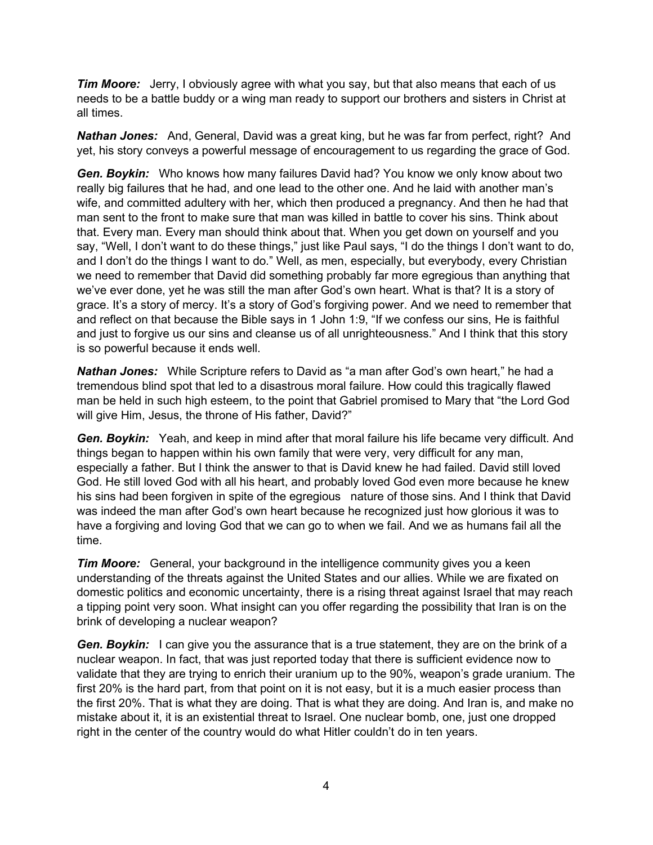*Tim Moore:* Jerry, I obviously agree with what you say, but that also means that each of us needs to be a battle buddy or a wing man ready to support our brothers and sisters in Christ at all times.

*Nathan Jones:* And, General, David was a great king, but he was far from perfect, right? And yet, his story conveys a powerful message of encouragement to us regarding the grace of God.

*Gen. Boykin:* Who knows how many failures David had? You know we only know about two really big failures that he had, and one lead to the other one. And he laid with another man's wife, and committed adultery with her, which then produced a pregnancy. And then he had that man sent to the front to make sure that man was killed in battle to cover his sins. Think about that. Every man. Every man should think about that. When you get down on yourself and you say, "Well, I don't want to do these things," just like Paul says, "I do the things I don't want to do, and I don't do the things I want to do." Well, as men, especially, but everybody, every Christian we need to remember that David did something probably far more egregious than anything that we've ever done, yet he was still the man after God's own heart. What is that? It is a story of grace. It's a story of mercy. It's a story of God's forgiving power. And we need to remember that and reflect on that because the Bible says in 1 John 1:9, "If we confess our sins, He is faithful and just to forgive us our sins and cleanse us of all unrighteousness." And I think that this story is so powerful because it ends well.

*Nathan Jones:* While Scripture refers to David as "a man after God's own heart," he had a tremendous blind spot that led to a disastrous moral failure. How could this tragically flawed man be held in such high esteem, to the point that Gabriel promised to Mary that "the Lord God will give Him, Jesus, the throne of His father, David?"

*Gen. Boykin:* Yeah, and keep in mind after that moral failure his life became very difficult. And things began to happen within his own family that were very, very difficult for any man, especially a father. But I think the answer to that is David knew he had failed. David still loved God. He still loved God with all his heart, and probably loved God even more because he knew his sins had been forgiven in spite of the egregious nature of those sins. And I think that David was indeed the man after God's own heart because he recognized just how glorious it was to have a forgiving and loving God that we can go to when we fail. And we as humans fail all the time.

*Tim Moore:* General, your background in the intelligence community gives you a keen understanding of the threats against the United States and our allies. While we are fixated on domestic politics and economic uncertainty, there is a rising threat against Israel that may reach a tipping point very soon. What insight can you offer regarding the possibility that Iran is on the brink of developing a nuclear weapon?

*Gen. Boykin:* I can give you the assurance that is a true statement, they are on the brink of a nuclear weapon. In fact, that was just reported today that there is sufficient evidence now to validate that they are trying to enrich their uranium up to the 90%, weapon's grade uranium. The first 20% is the hard part, from that point on it is not easy, but it is a much easier process than the first 20%. That is what they are doing. That is what they are doing. And Iran is, and make no mistake about it, it is an existential threat to Israel. One nuclear bomb, one, just one dropped right in the center of the country would do what Hitler couldn't do in ten years.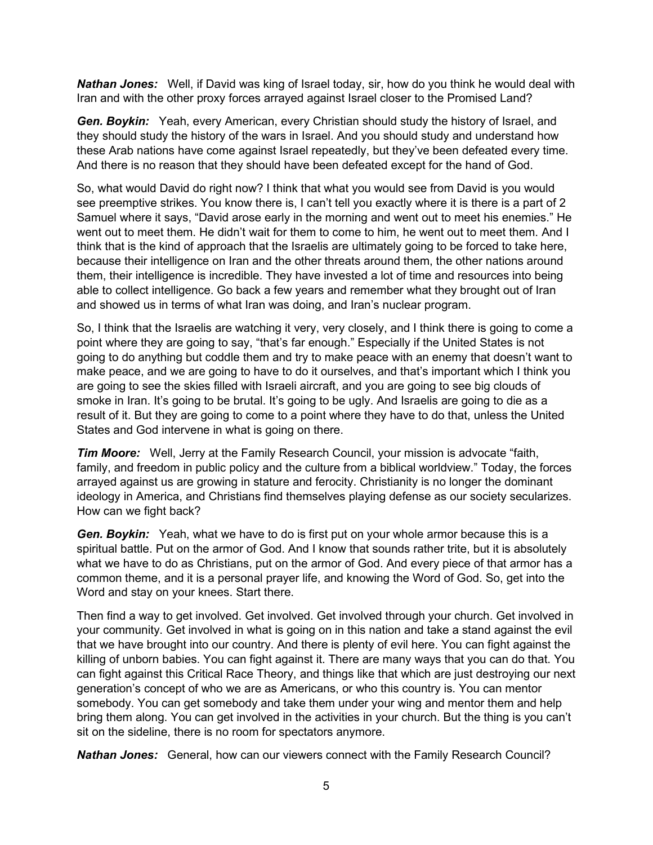*Nathan Jones:* Well, if David was king of Israel today, sir, how do you think he would deal with Iran and with the other proxy forces arrayed against Israel closer to the Promised Land?

*Gen. Boykin:* Yeah, every American, every Christian should study the history of Israel, and they should study the history of the wars in Israel. And you should study and understand how these Arab nations have come against Israel repeatedly, but they've been defeated every time. And there is no reason that they should have been defeated except for the hand of God.

So, what would David do right now? I think that what you would see from David is you would see preemptive strikes. You know there is, I can't tell you exactly where it is there is a part of 2 Samuel where it says, "David arose early in the morning and went out to meet his enemies." He went out to meet them. He didn't wait for them to come to him, he went out to meet them. And I think that is the kind of approach that the Israelis are ultimately going to be forced to take here, because their intelligence on Iran and the other threats around them, the other nations around them, their intelligence is incredible. They have invested a lot of time and resources into being able to collect intelligence. Go back a few years and remember what they brought out of Iran and showed us in terms of what Iran was doing, and Iran's nuclear program.

So, I think that the Israelis are watching it very, very closely, and I think there is going to come a point where they are going to say, "that's far enough." Especially if the United States is not going to do anything but coddle them and try to make peace with an enemy that doesn't want to make peace, and we are going to have to do it ourselves, and that's important which I think you are going to see the skies filled with Israeli aircraft, and you are going to see big clouds of smoke in Iran. It's going to be brutal. It's going to be ugly. And Israelis are going to die as a result of it. But they are going to come to a point where they have to do that, unless the United States and God intervene in what is going on there.

*Tim Moore:* Well, Jerry at the Family Research Council, your mission is advocate "faith, family, and freedom in public policy and the culture from a biblical worldview." Today, the forces arrayed against us are growing in stature and ferocity. Christianity is no longer the dominant ideology in America, and Christians find themselves playing defense as our society secularizes. How can we fight back?

*Gen. Boykin:* Yeah, what we have to do is first put on your whole armor because this is a spiritual battle. Put on the armor of God. And I know that sounds rather trite, but it is absolutely what we have to do as Christians, put on the armor of God. And every piece of that armor has a common theme, and it is a personal prayer life, and knowing the Word of God. So, get into the Word and stay on your knees. Start there.

Then find a way to get involved. Get involved. Get involved through your church. Get involved in your community. Get involved in what is going on in this nation and take a stand against the evil that we have brought into our country. And there is plenty of evil here. You can fight against the killing of unborn babies. You can fight against it. There are many ways that you can do that. You can fight against this Critical Race Theory, and things like that which are just destroying our next generation's concept of who we are as Americans, or who this country is. You can mentor somebody. You can get somebody and take them under your wing and mentor them and help bring them along. You can get involved in the activities in your church. But the thing is you can't sit on the sideline, there is no room for spectators anymore.

*Nathan Jones:* General, how can our viewers connect with the Family Research Council?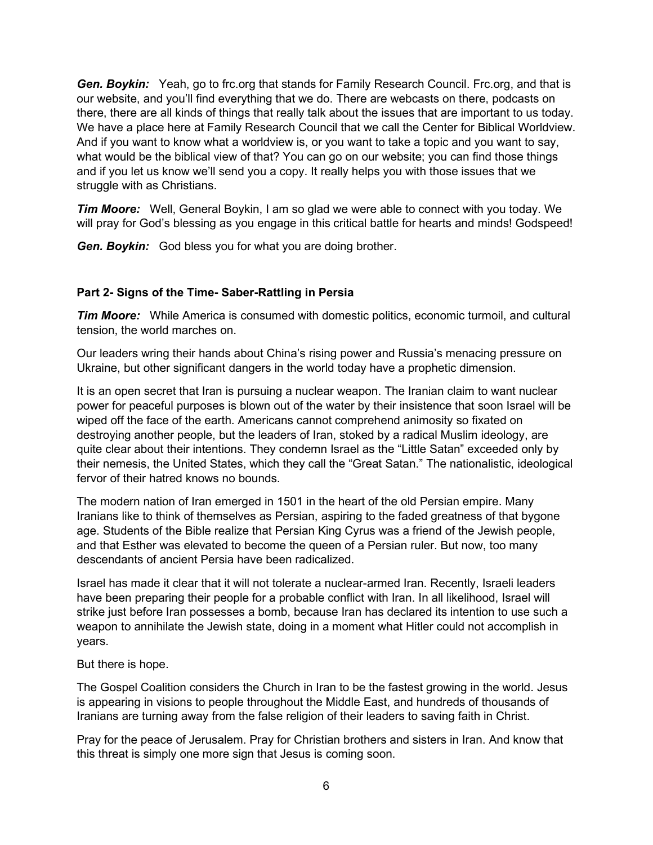**Gen. Boykin:** Yeah, go to frc.org that stands for Family Research Council. Frc.org, and that is our website, and you'll find everything that we do. There are webcasts on there, podcasts on there, there are all kinds of things that really talk about the issues that are important to us today. We have a place here at Family Research Council that we call the Center for Biblical Worldview. And if you want to know what a worldview is, or you want to take a topic and you want to say, what would be the biblical view of that? You can go on our website; you can find those things and if you let us know we'll send you a copy. It really helps you with those issues that we struggle with as Christians.

*Tim Moore:* Well, General Boykin, I am so glad we were able to connect with you today. We will pray for God's blessing as you engage in this critical battle for hearts and minds! Godspeed!

*Gen. Boykin:* God bless you for what you are doing brother.

## **Part 2- Signs of the Time- Saber-Rattling in Persia**

**Tim Moore:** While America is consumed with domestic politics, economic turmoil, and cultural tension, the world marches on.

Our leaders wring their hands about China's rising power and Russia's menacing pressure on Ukraine, but other significant dangers in the world today have a prophetic dimension.

It is an open secret that Iran is pursuing a nuclear weapon. The Iranian claim to want nuclear power for peaceful purposes is blown out of the water by their insistence that soon Israel will be wiped off the face of the earth. Americans cannot comprehend animosity so fixated on destroying another people, but the leaders of Iran, stoked by a radical Muslim ideology, are quite clear about their intentions. They condemn Israel as the "Little Satan" exceeded only by their nemesis, the United States, which they call the "Great Satan." The nationalistic, ideological fervor of their hatred knows no bounds.

The modern nation of Iran emerged in 1501 in the heart of the old Persian empire. Many Iranians like to think of themselves as Persian, aspiring to the faded greatness of that bygone age. Students of the Bible realize that Persian King Cyrus was a friend of the Jewish people, and that Esther was elevated to become the queen of a Persian ruler. But now, too many descendants of ancient Persia have been radicalized.

Israel has made it clear that it will not tolerate a nuclear-armed Iran. Recently, Israeli leaders have been preparing their people for a probable conflict with Iran. In all likelihood, Israel will strike just before Iran possesses a bomb, because Iran has declared its intention to use such a weapon to annihilate the Jewish state, doing in a moment what Hitler could not accomplish in years.

### But there is hope.

The Gospel Coalition considers the Church in Iran to be the fastest growing in the world. Jesus is appearing in visions to people throughout the Middle East, and hundreds of thousands of Iranians are turning away from the false religion of their leaders to saving faith in Christ.

Pray for the peace of Jerusalem. Pray for Christian brothers and sisters in Iran. And know that this threat is simply one more sign that Jesus is coming soon.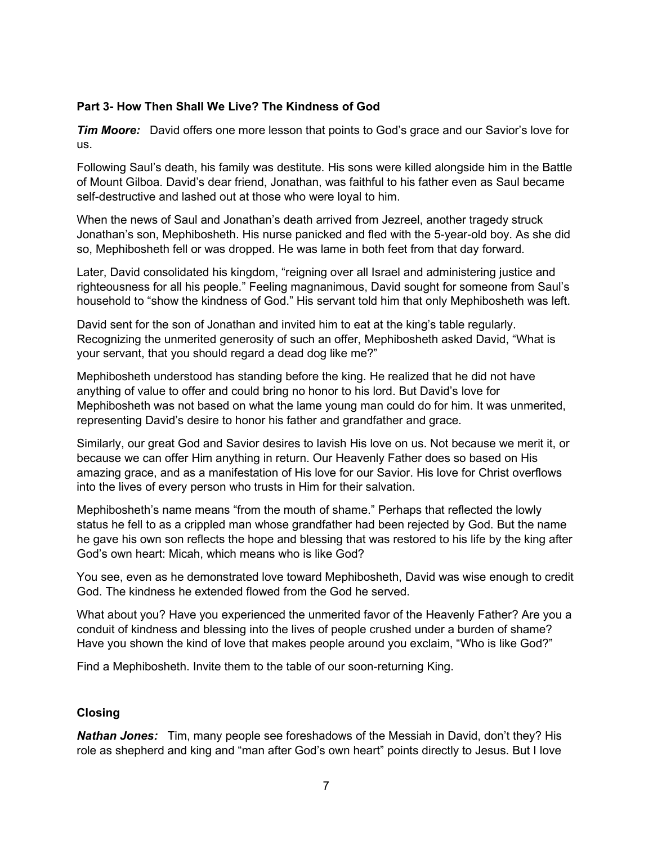#### **Part 3- How Then Shall We Live? The Kindness of God**

*Tim Moore:* David offers one more lesson that points to God's grace and our Savior's love for us.

Following Saul's death, his family was destitute. His sons were killed alongside him in the Battle of Mount Gilboa. David's dear friend, Jonathan, was faithful to his father even as Saul became self-destructive and lashed out at those who were loyal to him.

When the news of Saul and Jonathan's death arrived from Jezreel, another tragedy struck Jonathan's son, Mephibosheth. His nurse panicked and fled with the 5-year-old boy. As she did so, Mephibosheth fell or was dropped. He was lame in both feet from that day forward.

Later, David consolidated his kingdom, "reigning over all Israel and administering justice and righteousness for all his people." Feeling magnanimous, David sought for someone from Saul's household to "show the kindness of God." His servant told him that only Mephibosheth was left.

David sent for the son of Jonathan and invited him to eat at the king's table regularly. Recognizing the unmerited generosity of such an offer, Mephibosheth asked David, "What is your servant, that you should regard a dead dog like me?"

Mephibosheth understood has standing before the king. He realized that he did not have anything of value to offer and could bring no honor to his lord. But David's love for Mephibosheth was not based on what the lame young man could do for him. It was unmerited, representing David's desire to honor his father and grandfather and grace.

Similarly, our great God and Savior desires to lavish His love on us. Not because we merit it, or because we can offer Him anything in return. Our Heavenly Father does so based on His amazing grace, and as a manifestation of His love for our Savior. His love for Christ overflows into the lives of every person who trusts in Him for their salvation.

Mephibosheth's name means "from the mouth of shame." Perhaps that reflected the lowly status he fell to as a crippled man whose grandfather had been rejected by God. But the name he gave his own son reflects the hope and blessing that was restored to his life by the king after God's own heart: Micah, which means who is like God?

You see, even as he demonstrated love toward Mephibosheth, David was wise enough to credit God. The kindness he extended flowed from the God he served.

What about you? Have you experienced the unmerited favor of the Heavenly Father? Are you a conduit of kindness and blessing into the lives of people crushed under a burden of shame? Have you shown the kind of love that makes people around you exclaim, "Who is like God?"

Find a Mephibosheth. Invite them to the table of our soon-returning King.

# **Closing**

*Nathan Jones:* Tim, many people see foreshadows of the Messiah in David, don't they? His role as shepherd and king and "man after God's own heart" points directly to Jesus. But I love